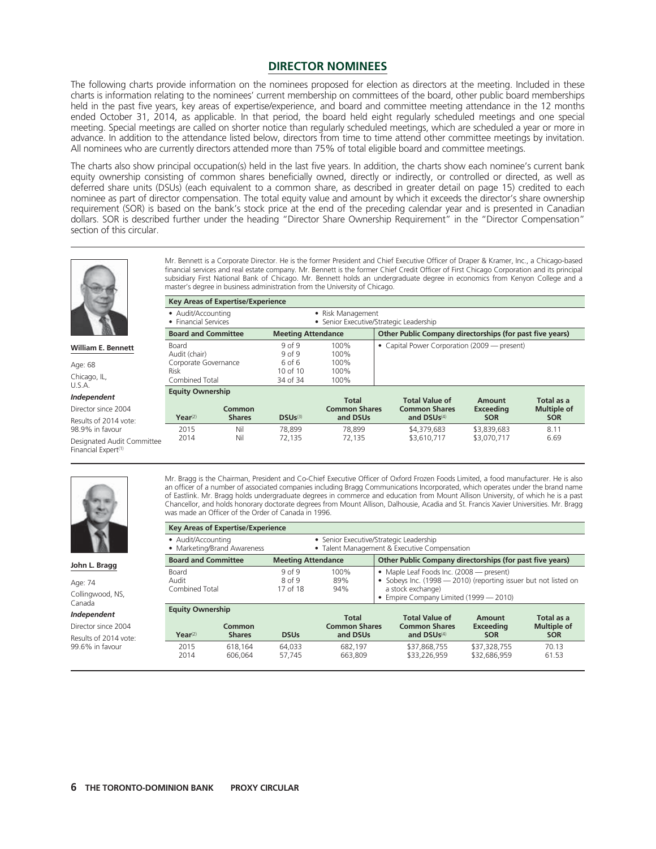# **DIRECTOR NOMINEES**

The following charts provide information on the nominees proposed for election as directors at the meeting. Included in these charts is information relating to the nominees' current membership on committees of the board, other public board memberships held in the past five years, key areas of expertise/experience, and board and committee meeting attendance in the 12 months ended October 31, 2014, as applicable. In that period, the board held eight regularly scheduled meetings and one special meeting. Special meetings are called on shorter notice than regularly scheduled meetings, which are scheduled a year or more in advance. In addition to the attendance listed below, directors from time to time attend other committee meetings by invitation. All nominees who are currently directors attended more than 75% of total eligible board and committee meetings.

The charts also show principal occupation(s) held in the last five years. In addition, the charts show each nominee's current bank equity ownership consisting of common shares beneficially owned, directly or indirectly, or controlled or directed, as well as deferred share units (DSUs) (each equivalent to a common share, as described in greater detail on page 15) credited to each nominee as part of director compensation. The total equity value and amount by which it exceeds the director's share ownership requirement (SOR) is based on the bank's stock price at the end of the preceding calendar year and is presented in Canadian dollars. SOR is described further under the heading "Director Share Ownership Requirement" in the "Director Compensation" section of this circular.



**William E. Bennett**

Age: 68 Chicago, IL, U.S.A.

*Independent*

Director since 2004 Results of 2014 vote: 98.9% in favour

Designated Audit Committe Financial Expert<sup>(1)</sup>



**John L. Bragg**

Age: 74 Collingwood, NS, Canada

*Independent*

Director since 2004 Results of 2014 vote: 99.6% in favour

Mr. Bennett is a Corporate Director. He is the former President and Chief Executive Officer of Draper & Kramer, Inc., a Chicago-based financial services and real estate company. Mr. Bennett is the former Chief Credit Officer of First Chicago Corporation and its principal subsidiary First National Bank of Chicago. Mr. Bennett holds an undergraduate degree in economics from Kenyon College and a master's degree in business administration from the University of Chicago.

|                                                 | <b>Key Areas of Expertise/Experience</b> |                           |                                                  |                                                                 |                                   |                                                |  |  |  |  |
|-------------------------------------------------|------------------------------------------|---------------------------|--------------------------------------------------|-----------------------------------------------------------------|-----------------------------------|------------------------------------------------|--|--|--|--|
| • Audit/Accounting<br><b>Financial Services</b> |                                          |                           | • Risk Management                                | • Senior Executive/Strategic Leadership                         |                                   |                                                |  |  |  |  |
| <b>Board and Committee</b>                      |                                          | <b>Meeting Attendance</b> |                                                  | <b>Other Public Company directorships (for past five years)</b> |                                   |                                                |  |  |  |  |
| Board                                           |                                          | 9 <sub>of</sub> 9         | 100%                                             | • Capital Power Corporation (2009 - present)                    |                                   |                                                |  |  |  |  |
| Audit (chair)                                   |                                          | 9 <sub>of</sub> 9         | 100%                                             |                                                                 |                                   |                                                |  |  |  |  |
| Corporate Governance                            |                                          | $6$ of $6$                | 100%                                             |                                                                 |                                   |                                                |  |  |  |  |
| Risk                                            |                                          | 10 of $10$                | 100%                                             |                                                                 |                                   |                                                |  |  |  |  |
| Combined Total                                  |                                          | 34 of 34                  | 100%                                             |                                                                 |                                   |                                                |  |  |  |  |
| <b>Equity Ownership</b>                         |                                          |                           |                                                  |                                                                 |                                   |                                                |  |  |  |  |
| $Year^{(2)}$                                    | Common<br><b>Shares</b>                  | $DSUs^{(3)}$              | <b>Total</b><br><b>Common Shares</b><br>and DSUs | <b>Total Value of</b><br><b>Common Shares</b><br>and DSUs(4)    | Amount<br>Exceeding<br><b>SOR</b> | Total as a<br><b>Multiple of</b><br><b>SOR</b> |  |  |  |  |
| 2015                                            | Nil                                      | 78.899                    | 78.899                                           | \$4,379,683                                                     | \$3,839,683                       | 8.11                                           |  |  |  |  |
| 2014                                            | Nil                                      | 72.135                    | 72.135                                           | \$3,610,717                                                     | \$3,070,717                       | 6.69                                           |  |  |  |  |
|                                                 |                                          |                           |                                                  |                                                                 |                                   |                                                |  |  |  |  |

Mr. Bragg is the Chairman, President and Co-Chief Executive Officer of Oxford Frozen Foods Limited, a food manufacturer. He is also an officer of a number of associated companies including Bragg Communications Incorporated, which operates under the brand name of Eastlink. Mr. Bragg holds undergraduate degrees in commerce and education from Mount Allison University, of which he is a past Chancellor, and holds honorary doctorate degrees from Mount Allison, Dalhousie, Acadia and St. Francis Xavier Universities. Mr. Bragg was made an Officer of the Order of Canada in 1996.

#### **Key Areas of Expertise/Experience**

|                                                                                                                                                                                                                                                                                            | <b>Reviews</b> of Expertise/Experience |                  |                                                  |                                                                   |                                   |                                                |
|--------------------------------------------------------------------------------------------------------------------------------------------------------------------------------------------------------------------------------------------------------------------------------------------|----------------------------------------|------------------|--------------------------------------------------|-------------------------------------------------------------------|-----------------------------------|------------------------------------------------|
| • Senior Executive/Strategic Leadership<br>• Audit/Accounting<br>• Marketing/Brand Awareness<br>• Talent Management & Executive Compensation                                                                                                                                               |                                        |                  |                                                  |                                                                   |                                   |                                                |
| <b>Board and Committee</b><br>Other Public Company directorships (for past five years)<br><b>Meeting Attendance</b>                                                                                                                                                                        |                                        |                  |                                                  |                                                                   |                                   |                                                |
| 9 <sub>of</sub> 9<br>• Maple Leaf Foods Inc. (2008 - present)<br>100%<br>Board<br>• Sobeys Inc. (1998 - 2010) (reporting issuer but not listed on<br>8 <sub>of</sub> 9<br>Audit<br>89%<br>Combined Total<br>17 of 18<br>a stock exchange)<br>94%<br>• Empire Company Limited (1999 - 2010) |                                        |                  |                                                  |                                                                   |                                   |                                                |
| <b>Equity Ownership</b><br>$Year^{(2)}$                                                                                                                                                                                                                                                    | Common<br><b>Shares</b>                | <b>DSUs</b>      | <b>Total</b><br><b>Common Shares</b><br>and DSUs | <b>Total Value of</b><br><b>Common Shares</b><br>and $DSUs^{(4)}$ | Amount<br>Exceeding<br><b>SOR</b> | Total as a<br><b>Multiple of</b><br><b>SOR</b> |
| 2015<br>2014                                                                                                                                                                                                                                                                               | 618.164<br>606.064                     | 64,033<br>57.745 | 682.197<br>663,809                               | \$37,868,755<br>\$33,226,959                                      | \$37,328,755<br>\$32,686,959      | 70.13<br>61.53                                 |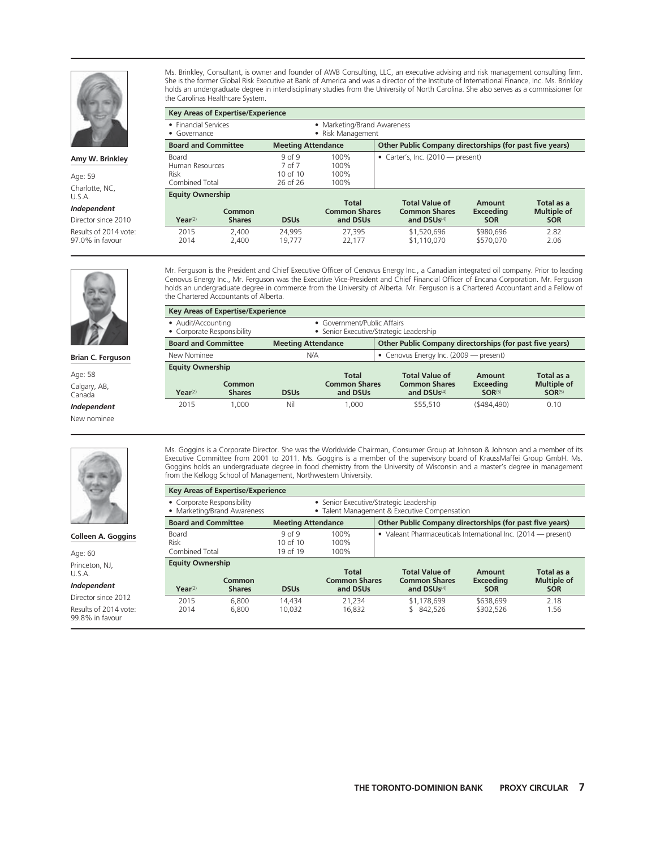

## **Amy W. Brinkley**

Age: 59 Charlotte, NC, U.S.A.

### *Independent* Director since 2010 Results of 2014 vote: 97.0% in favour



# **Brian C. Ferguson**

Age: 58 Calgary, AB, Canada

### *Independent*

New nominee



### **Colleen A. Goggins**

Age: 60 Princeton, NJ, U.S.A.

#### *Independent*

Director since 2012 Results of 2014 vote: 99.8% in favour

Ms. Brinkley, Consultant, is owner and founder of AWB Consulting, LLC, an executive advising and risk management consulting firm. She is the former Global Risk Executive at Bank of America and was a director of the Institute of International Finance, Inc. Ms. Brinkley holds an undergraduate degree in interdisciplinary studies from the University of North Carolina. She also serves as a commissioner for the Carolinas Healthcare System.

| <b>Key Areas of Expertise/Experience</b>                           |                |                                                                |                                                  |                                                                   |                                   |                                                |  |  |
|--------------------------------------------------------------------|----------------|----------------------------------------------------------------|--------------------------------------------------|-------------------------------------------------------------------|-----------------------------------|------------------------------------------------|--|--|
| • Financial Services<br>$\bullet$ Governance                       |                | • Marketing/Brand Awareness<br>• Risk Management               |                                                  |                                                                   |                                   |                                                |  |  |
| <b>Board and Committee</b>                                         |                | <b>Meeting Attendance</b>                                      |                                                  | <b>Other Public Company directorships (for past five years)</b>   |                                   |                                                |  |  |
| Board<br>Human Resources<br>Risk<br>Combined Total                 |                | 9 <sub>of</sub> 9<br>7 <sub>of</sub> 7<br>10 of 10<br>26 of 26 | 100%<br>100%<br>100%<br>100%                     | • Carter's, Inc. (2010 - present)                                 |                                   |                                                |  |  |
| <b>Equity Ownership</b><br>Common<br>$Year^{(2)}$<br><b>Shares</b> |                | <b>DSUs</b>                                                    | <b>Total</b><br><b>Common Shares</b><br>and DSUs | <b>Total Value of</b><br><b>Common Shares</b><br>and $DSUs^{(4)}$ | Amount<br>Exceeding<br><b>SOR</b> | Total as a<br><b>Multiple of</b><br><b>SOR</b> |  |  |
| 2015<br>2014                                                       | 2.400<br>2.400 | 24,995<br>19,777                                               | 27,395<br>22.177                                 | \$1,520,696<br>\$1,110,070                                        | \$980,696<br>\$570,070            | 2.82<br>2.06                                   |  |  |

Mr. Ferguson is the President and Chief Executive Officer of Cenovus Energy Inc., a Canadian integrated oil company. Prior to leading Cenovus Energy Inc., Mr. Ferguson was the Executive Vice-President and Chief Financial Officer of Encana Corporation. Mr. Ferguson holds an undergraduate degree in commerce from the University of Alberta. Mr. Ferguson is a Chartered Accountant and a Fellow of the Chartered Accountants of Alberta.

| <b>Key Areas of Expertise/Experience</b>                     |                            |                                                                        |                                           |                                                                   |                                                  |                                                        |  |  |
|--------------------------------------------------------------|----------------------------|------------------------------------------------------------------------|-------------------------------------------|-------------------------------------------------------------------|--------------------------------------------------|--------------------------------------------------------|--|--|
| • Audit/Accounting                                           | • Corporate Responsibility | • Government/Public Affairs<br>• Senior Executive/Strategic Leadership |                                           |                                                                   |                                                  |                                                        |  |  |
| <b>Board and Committee</b>                                   |                            | <b>Meeting Attendance</b>                                              |                                           | Other Public Company directorships (for past five years)          |                                                  |                                                        |  |  |
| • Cenovus Energy Inc. (2009 — present)<br>New Nominee<br>N/A |                            |                                                                        |                                           |                                                                   |                                                  |                                                        |  |  |
| <b>Equity Ownership</b>                                      |                            |                                                                        |                                           |                                                                   |                                                  |                                                        |  |  |
| $Year^{(2)}$                                                 | Common<br><b>Shares</b>    | <b>DSUs</b>                                                            | Total<br><b>Common Shares</b><br>and DSUs | <b>Total Value of</b><br><b>Common Shares</b><br>and $DSUs^{(4)}$ | Amount<br><b>Exceeding</b><br>SOR <sup>(5)</sup> | Total as a<br><b>Multiple of</b><br>SOR <sup>(5)</sup> |  |  |
| 2015                                                         | 1.000                      | Nil                                                                    | 1.000                                     | \$55,510                                                          | ( \$484,490)                                     | 0.10                                                   |  |  |

Ms. Goggins is a Corporate Director. She was the Worldwide Chairman, Consumer Group at Johnson & Johnson and a member of its Executive Committee from 2001 to 2011. Ms. Goggins is a member of the supervisory board of KraussMaffei Group GmbH. Ms. Goggins holds an undergraduate degree in food chemistry from the University of Wisconsin and a master's degree in management from the Kellogg School of Management, Northwestern University.

|                                                                                                                                                      | <b>Key Areas of Expertise/Experience</b> |                                               |                                                  |                                                                   |                                   |                                                |  |
|------------------------------------------------------------------------------------------------------------------------------------------------------|------------------------------------------|-----------------------------------------------|--------------------------------------------------|-------------------------------------------------------------------|-----------------------------------|------------------------------------------------|--|
| • Corporate Responsibility<br>• Senior Executive/Strategic Leadership<br>• Marketing/Brand Awareness<br>• Talent Management & Executive Compensation |                                          |                                               |                                                  |                                                                   |                                   |                                                |  |
| <b>Board and Committee</b>                                                                                                                           |                                          | <b>Meeting Attendance</b>                     |                                                  | <b>Other Public Company directorships (for past five years)</b>   |                                   |                                                |  |
| Board<br>Risk<br>Combined Total                                                                                                                      |                                          | 9 <sub>of</sub> 9<br>$10$ of $10$<br>19 of 19 | 100%<br>100%<br>$100\%$                          | • Valeant Pharmaceuticals International Inc. (2014 – present)     |                                   |                                                |  |
| <b>Equity Ownership</b>                                                                                                                              |                                          |                                               |                                                  |                                                                   |                                   |                                                |  |
| $Year^{(2)}$                                                                                                                                         | Common<br><b>Shares</b>                  | <b>DSUs</b>                                   | <b>Total</b><br><b>Common Shares</b><br>and DSUs | <b>Total Value of</b><br><b>Common Shares</b><br>and $DSUs^{(4)}$ | Amount<br>Exceeding<br><b>SOR</b> | Total as a<br><b>Multiple of</b><br><b>SOR</b> |  |
| 2015<br>2014                                                                                                                                         | 6.800<br>6.800                           | 14.434<br>10.032                              | 21.234<br>16.832                                 | \$1,178,699<br>842.526                                            | \$638,699<br>\$302,526            | 2.18<br>1.56                                   |  |

### **THE TORONTO-DOMINION BANK PROXY CIRCULAR 7**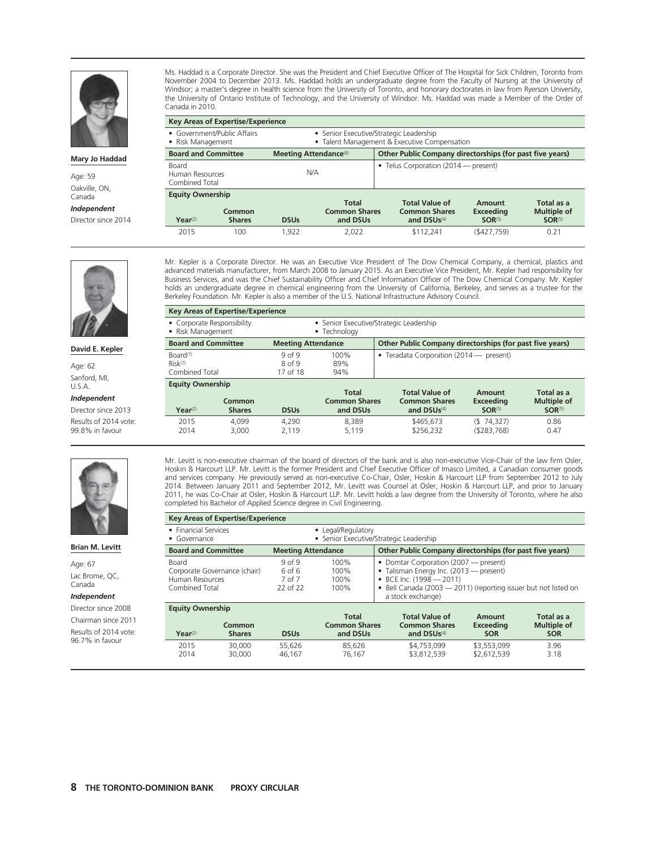

### **Mary Jo Haddad**

Age: 59 Oakville, ON, Canada

*Independent*

Director since 2014



|                                                          | <b>Key Areas of Expertise/Experience</b> |                                                                                         |                                                  |                                                                   |                                           |                                                        |  |
|----------------------------------------------------------|------------------------------------------|-----------------------------------------------------------------------------------------|--------------------------------------------------|-------------------------------------------------------------------|-------------------------------------------|--------------------------------------------------------|--|
| • Risk Management                                        | • Government/Public Affairs              | • Senior Executive/Strategic Leadership<br>• Talent Management & Executive Compensation |                                                  |                                                                   |                                           |                                                        |  |
| <b>Board and Committee</b>                               |                                          | <b>Meeting Attendance</b> <sup>(6)</sup>                                                |                                                  | Other Public Company directorships (for past five years)          |                                           |                                                        |  |
| <b>Board</b><br>N/A<br>Human Resources<br>Combined Total |                                          |                                                                                         |                                                  | • Telus Corporation (2014 — present)                              |                                           |                                                        |  |
| <b>Equity Ownership</b><br>$Year^{(2)}$                  | Common<br><b>Shares</b>                  | <b>DSUs</b>                                                                             | <b>Total</b><br><b>Common Shares</b><br>and DSUs | <b>Total Value of</b><br><b>Common Shares</b><br>and $DSUs^{(4)}$ | Amount<br>Exceeding<br>SOR <sup>(5)</sup> | Total as a<br><b>Multiple of</b><br>SOR <sup>(5)</sup> |  |
| 2015                                                     | 100                                      | 1,922                                                                                   | 2,022                                            | \$112,241                                                         | (\$427,759)                               | 0.21                                                   |  |

Mr. Kepler is a Corporate Director. He was an Executive Vice President of The Dow Chemical Company, a chemical, plastics and advanced materials manufacturer, from March 2008 to January 2015. As an Executive Vice President, Mr. Kepler had responsibility for Business Services, and was the Chief Sustainability Officer and Chief Information Officer of The Dow Chemical Company. Mr. Kepler holds an undergraduate degree in chemical engineering from the University of California, Berkeley, and serves as a trustee for the Berkeley Foundation. Mr. Kepler is also a member of the U.S. National Infrastructure Advisory Council.

|                                                 | <b>Key Areas of Expertise/Experience</b> |                                                                |                                      |                                                                 |                           |                                  |  |
|-------------------------------------------------|------------------------------------------|----------------------------------------------------------------|--------------------------------------|-----------------------------------------------------------------|---------------------------|----------------------------------|--|
| • Corporate Responsibility<br>• Risk Management |                                          |                                                                | • Technology                         | • Senior Executive/Strategic Leadership                         |                           |                                  |  |
| <b>Board and Committee</b>                      |                                          | <b>Meeting Attendance</b>                                      |                                      | <b>Other Public Company directorships (for past five years)</b> |                           |                                  |  |
| $Board^{(7)}$<br>Risk(7)<br>Combined Total      |                                          | 9 <sub>0</sub> f <sub>9</sub><br>8 <sub>of</sub> 9<br>17 of 18 | 100%<br>89%<br>94%                   | • Teradata Corporation (2014 — present)                         |                           |                                  |  |
| <b>Equity Ownership</b>                         | Common                                   |                                                                | <b>Total</b><br><b>Common Shares</b> | <b>Total Value of</b><br><b>Common Shares</b>                   | Amount<br>Exceeding       | Total as a<br><b>Multiple of</b> |  |
| $Year^{(2)}$                                    | <b>Shares</b>                            | <b>DSUs</b>                                                    | and DSUs                             | and $DSUs^{(4)}$                                                | SOR <sup>(5)</sup>        | SOR <sup>(5)</sup>               |  |
| 2015<br>2014                                    | 4.099<br>3.000                           | 4.290<br>2.119                                                 | 8.389<br>5,119                       | \$465,673<br>\$256.232                                          | (574.327)<br>( \$283.768) | 0.86<br>0.47                     |  |

Mr. Levitt is non-executive chairman of the board of directors of the bank and is also non-executive Vice-Chair of the law firm Osler, Hoskin & Harcourt LLP. Mr. Levitt is the former President and Chief Executive Officer of Imasco Limited, a Canadian consumer goods and services company. He previously served as non-executive Co-Chair, Osler, Hoskin & Harcourt LLP from September 2012 to July 2014. Between January 2011 and September 2012, Mr. Levitt was Counsel at Osler, Hoskin & Harcourt LLP, and prior to January 2011, he was Co-Chair at Osler, Hoskin & Harcourt LLP. Mr. Levitt holds a law degree from the University of Toronto, where he also completed his Bachelor of Applied Science degree in Civil Engineering.

| • Financial Services<br>$\bullet$ Governance                               |                                                           | • Legal/Regulatory<br>• Senior Executive/Strategic Leadership |                                                                                                                                                                                                      |
|----------------------------------------------------------------------------|-----------------------------------------------------------|---------------------------------------------------------------|------------------------------------------------------------------------------------------------------------------------------------------------------------------------------------------------------|
| <b>Board and Committee</b>                                                 | <b>Meeting Attendance</b>                                 |                                                               | Other Public Company directorships (for past five years)                                                                                                                                             |
| Board<br>Corporate Governance (chair)<br>Human Resources<br>Combined Total | 9 <sub>of</sub> 9<br>$6$ of $6$<br>7 of 7<br>$22$ of $22$ | 100%<br>100%<br>100%<br>100%                                  | • Domtar Corporation (2007 — present)<br>• Talisman Energy Inc. (2013 - present)<br>• BCE Inc. (1998 - 2011)<br>• Bell Canada (2003 - 2011) (reporting issuer but not listed on<br>a stock exchange) |

| <b>Equity Ownership</b> |                         |             | <b>Total</b>                     | <b>Total Value of</b>                    | Amount                  | Total as a                       |
|-------------------------|-------------------------|-------------|----------------------------------|------------------------------------------|-------------------------|----------------------------------|
| $Year^{(2)}$            | Common<br><b>Shares</b> | <b>DSUs</b> | <b>Common Shares</b><br>and DSUs | <b>Common Shares</b><br>and $DSUs^{(4)}$ | Exceeding<br><b>SOR</b> | <b>Multiple of</b><br><b>SOR</b> |
| 2015                    | 30,000                  | 55,626      | 85.626                           | \$4,753,099                              | \$3,553,099             | 3.96                             |
| 2014                    | 30,000                  | 46.167      | 76.167                           | \$3,812,539                              | \$2,612,539             | 3.18                             |



**David E. Kepler**

Age: 62 Sanford, MI, U.S.A.

#### *Independent*

Director since 2013 Results of 2014 vote: 99.8% in favour



### **Brian M. Levitt**

Age: 67 Lac Brome, QC, Canada

# *Independent*

Director since 2008 Chairman since 2011 Results of 2014 vote: 96.7% in favour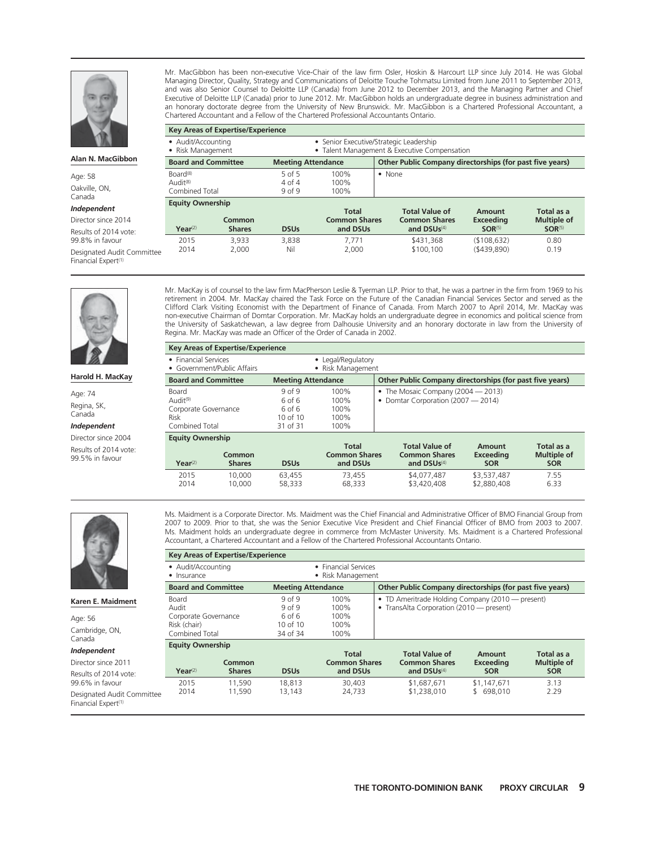

### **Alan N. MacGibbon**

Age: 58 Oakville, ON, Canada

### *Independent*

Director since 2014 Results of 2014 vote: 99.8% in favour Designated Audit Committee Financial Expert<sup>(1)</sup>

Mr. MacGibbon has been non-executive Vice-Chair of the law firm Osler, Hoskin & Harcourt LLP since July 2014. He was Global Managing Director, Quality, Strategy and Communications of Deloitte Touche Tohmatsu Limited from June 2011 to September 2013, and was also Senior Counsel to Deloitte LLP (Canada) from June 2012 to December 2013, and the Managing Partner and Chief Executive of Deloitte LLP (Canada) prior to June 2012. Mr. MacGibbon holds an undergraduate degree in business administration and an honorary doctorate degree from the University of New Brunswick. Mr. MacGibbon is a Chartered Professional Accountant, a Chartered Accountant and a Fellow of the Chartered Professional Accountants Ontario.

|                                         | <b>Key Areas of Expertise/Experience</b>                                              |                                                                                         |                                                  |                                                              |                                           |                                                        |  |  |
|-----------------------------------------|---------------------------------------------------------------------------------------|-----------------------------------------------------------------------------------------|--------------------------------------------------|--------------------------------------------------------------|-------------------------------------------|--------------------------------------------------------|--|--|
| • Audit/Accounting<br>• Risk Management |                                                                                       | • Senior Executive/Strategic Leadership<br>• Talent Management & Executive Compensation |                                                  |                                                              |                                           |                                                        |  |  |
| <b>Board and Committee</b>              | Other Public Company directorships (for past five years)<br><b>Meeting Attendance</b> |                                                                                         |                                                  |                                                              |                                           |                                                        |  |  |
| $Board^{(8)}$                           |                                                                                       | $5$ of $5$                                                                              | 100%                                             | • None                                                       |                                           |                                                        |  |  |
| Audit <sup>(8)</sup>                    |                                                                                       | 4 of 4                                                                                  | 100%                                             |                                                              |                                           |                                                        |  |  |
| Combined Total                          |                                                                                       | 9 <sub>of</sub> 9                                                                       | 100%                                             |                                                              |                                           |                                                        |  |  |
| <b>Equity Ownership</b>                 |                                                                                       |                                                                                         |                                                  |                                                              |                                           |                                                        |  |  |
| $Year^{(2)}$                            | Common<br><b>Shares</b>                                                               | <b>DSUs</b>                                                                             | <b>Total</b><br><b>Common Shares</b><br>and DSUs | <b>Total Value of</b><br><b>Common Shares</b><br>and DSUs(4) | Amount<br>Exceeding<br>SOR <sup>(5)</sup> | Total as a<br><b>Multiple of</b><br>SOR <sup>(5)</sup> |  |  |
| 2015                                    | 3.933                                                                                 | 3.838                                                                                   | 7.771                                            | \$431,368                                                    | ( \$108.632)                              | 0.80                                                   |  |  |
| 2014                                    | 2,000                                                                                 | Nil                                                                                     | 2,000                                            | \$100,100                                                    | $($ \$439,890)                            | 0.19                                                   |  |  |

Mr. MacKay is of counsel to the law firm MacPherson Leslie & Tyerman LLP. Prior to that, he was a partner in the firm from 1969 to his retirement in 2004. Mr. MacKay chaired the Task Force on the Future of the Canadian Financial Services Sector and served as the Clifford Clark Visiting Economist with the Department of Finance of Canada. From March 2007 to April 2014, Mr. MacKay was non-executive Chairman of Domtar Corporation. Mr. MacKay holds an undergraduate degree in economics and political science from the University of Saskatchewan, a law degree from Dalhousie University and an honorary doctorate in law from the University of

Regina. Mr. MacKay was made an Officer of the Order of Canada in 2002.



#### **Harold H. MacKay**

Age: 74 Regina, SK, Canada

### *Independent*

Director since 2004 Results of 2014 vote: 99.5% in favour

|                                                                               | <b>Key Areas of Expertise/Experience</b> |                                                                         |                                                          |                                                                            |                                          |                                                |  |  |
|-------------------------------------------------------------------------------|------------------------------------------|-------------------------------------------------------------------------|----------------------------------------------------------|----------------------------------------------------------------------------|------------------------------------------|------------------------------------------------|--|--|
| • Financial Services                                                          | • Government/Public Affairs              |                                                                         | • Legal/Regulatory<br>• Risk Management                  |                                                                            |                                          |                                                |  |  |
| <b>Board and Committee</b>                                                    |                                          | <b>Meeting Attendance</b>                                               | Other Public Company directorships (for past five years) |                                                                            |                                          |                                                |  |  |
| Board<br>Audit $(9)$<br>Corporate Governance<br><b>Risk</b><br>Combined Total |                                          | 9 <sub>of</sub> 9<br>$6$ of $6$<br>$6$ of $6$<br>10 of $10$<br>31 of 31 | 100%<br>100%<br>100%<br>100%<br>100%                     | • The Mosaic Company (2004 $-$ 2013)<br>• Domtar Corporation (2007 - 2014) |                                          |                                                |  |  |
| <b>Equity Ownership</b><br>$Year^{(2)}$                                       | Common<br><b>Shares</b>                  | <b>DSUs</b>                                                             | <b>Total</b><br><b>Common Shares</b><br>and DSUs         | <b>Total Value of</b><br><b>Common Shares</b><br>and $DSUs^{(4)}$          | Amount<br><b>Exceeding</b><br><b>SOR</b> | Total as a<br><b>Multiple of</b><br><b>SOR</b> |  |  |
| 2015<br>2014                                                                  | 10,000<br>10,000                         | 63,455<br>58,333                                                        | 73,455<br>68,333                                         | \$4,077,487<br>\$3,420,408                                                 | \$3,537,487<br>\$2,880,408               | 7.55<br>6.33                                   |  |  |

**Karen E. Maidment**

Age: 56 Cambridge, ON, Canada

### *Independent*

Director since 2011 Results of 2014 vote: 99.6% in favour Designated Audit Committe Financial Expert<sup>(1)</sup>

Ms. Maidment is a Corporate Director. Ms. Maidment was the Chief Financial and Administrative Officer of BMO Financial Group from 2007 to 2009. Prior to that, she was the Senior Executive Vice President and Chief Financial Officer of BMO from 2003 to 2007. Ms. Maidment holds an undergraduate degree in commerce from McMaster University. Ms. Maidment is a Chartered Professional Accountant, a Chartered Accountant and a Fellow of the Chartered Professional Accountants Ontario.

|                                                                          | <b>Key Areas of Expertise/Experience</b> |                                                                                |                                           |                                                                                              |                                   |                                                |  |  |
|--------------------------------------------------------------------------|------------------------------------------|--------------------------------------------------------------------------------|-------------------------------------------|----------------------------------------------------------------------------------------------|-----------------------------------|------------------------------------------------|--|--|
| • Audit/Accounting<br>• Insurance                                        |                                          | • Financial Services<br>• Risk Management                                      |                                           |                                                                                              |                                   |                                                |  |  |
| <b>Board and Committee</b>                                               |                                          | <b>Meeting Attendance</b>                                                      |                                           | <b>Other Public Company directorships (for past five years)</b>                              |                                   |                                                |  |  |
| Board<br>Audit<br>Corporate Governance<br>Risk (chair)<br>Combined Total |                                          | 9 <sub>of</sub> 9<br>9 <sub>of</sub> 9<br>$6$ of $6$<br>10 of $10$<br>34 of 34 | 100%<br>100%<br>100%<br>100%<br>100%      | • TD Ameritrade Holding Company (2010 — present)<br>• TransAlta Corporation (2010 - present) |                                   |                                                |  |  |
| <b>Equity Ownership</b><br>$Year^{(2)}$                                  | Common<br><b>Shares</b>                  | <b>DSUs</b>                                                                    | Total<br><b>Common Shares</b><br>and DSUs | <b>Total Value of</b><br><b>Common Shares</b><br>and $DSUs^{(4)}$                            | Amount<br>Exceeding<br><b>SOR</b> | Total as a<br><b>Multiple of</b><br><b>SOR</b> |  |  |
| 2015<br>2014                                                             | 11,590<br>11,590                         | 18,813<br>13,143                                                               | 30,403<br>24,733                          | \$1,687,671<br>\$1,238,010                                                                   | \$1,147,671<br>698.010            | 3.13<br>2.29                                   |  |  |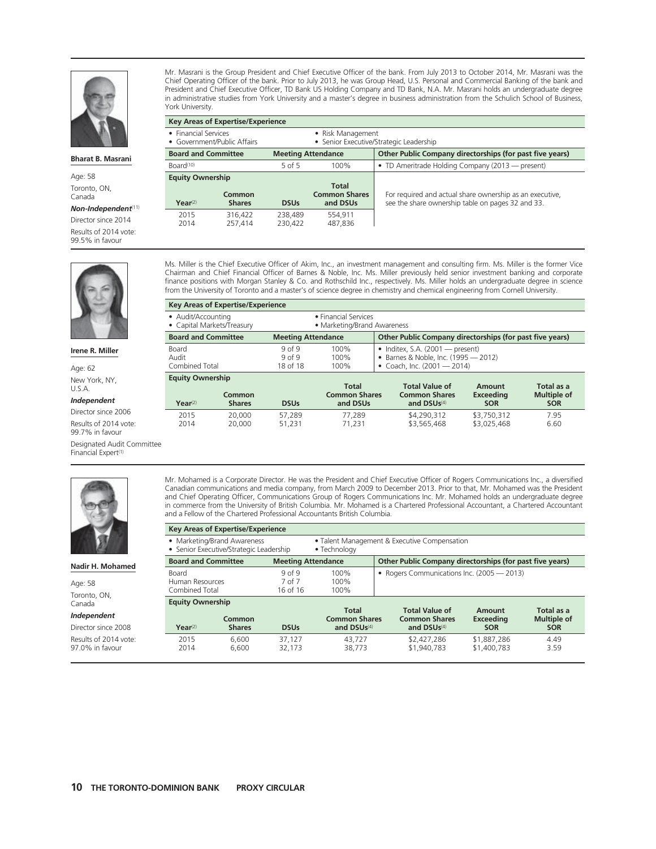

### **Bharat B. Masrani**

Age: 58 Toronto, ON, Canada

*Non-Independent*(11) Director since 2014

Results of 2014 vote: 99.5% in favour



#### **Irene R. Miller**

Age: 62 New York, NY, U.S.A.

#### *Independent*

Director since 2006 Results of 2014 vote: 99.7% in favour

Designated Audit Committee Financial Expert<sup>(1)</sup>



**Nadir H. Mohamed**

Age: 58 Toronto, ON, Canada

*Independent*

Director since 2008 Results of 2014 vote: 97.0% in favour

Mr. Masrani is the Group President and Chief Executive Officer of the bank. From July 2013 to October 2014, Mr. Masrani was the Chief Operating Officer of the bank. Prior to July 2013, he was Group Head, U.S. Personal and Commercial Banking of the bank and President and Chief Executive Officer, TD Bank US Holding Company and TD Bank, N.A. Mr. Masrani holds an undergraduate degree in administrative studies from York University and a master's degree in business administration from the Schulich School of Business, York University.

| <b>Key Areas of Expertise/Experience</b>            |             |                                      |                                                                 |  |  |  |  |  |  |
|-----------------------------------------------------|-------------|--------------------------------------|-----------------------------------------------------------------|--|--|--|--|--|--|
| • Financial Services<br>• Government/Public Affairs |             | • Risk Management                    | • Senior Executive/Strategic Leadership                         |  |  |  |  |  |  |
| <b>Board and Committee</b>                          |             | <b>Meeting Attendance</b>            | <b>Other Public Company directorships (for past five years)</b> |  |  |  |  |  |  |
| Board(10)                                           | $5$ of $5$  | 100%                                 | • TD Ameritrade Holding Company (2013 — present)                |  |  |  |  |  |  |
| <b>Equity Ownership</b><br>Common                   |             | <b>Total</b><br><b>Common Shares</b> | For required and actual share ownership as an executive,        |  |  |  |  |  |  |
| $Year^{(2)}$<br><b>Shares</b>                       | <b>DSUs</b> | and DSUs                             | see the share ownership table on pages 32 and 33.               |  |  |  |  |  |  |
| 2015<br>316,422                                     | 238,489     | 554,911                              |                                                                 |  |  |  |  |  |  |
| 2014<br>257,414                                     | 230,422     | 487.836                              |                                                                 |  |  |  |  |  |  |

Ms. Miller is the Chief Executive Officer of Akim, Inc., an investment management and consulting firm. Ms. Miller is the former Vice Chairman and Chief Financial Officer of Barnes & Noble, Inc. Ms. Miller previously held senior investment banking and corporate finance positions with Morgan Stanley & Co. and Rothschild Inc., respectively. Ms. Miller holds an undergraduate degree in science from the University of Toronto and a master's of science degree in chemistry and chemical engineering from Cornell University.

|                                  | <b>Key Areas of Expertise/Experience</b> |                                                    |                                                     |                                                                                                                   |                            |                                  |  |  |  |  |
|----------------------------------|------------------------------------------|----------------------------------------------------|-----------------------------------------------------|-------------------------------------------------------------------------------------------------------------------|----------------------------|----------------------------------|--|--|--|--|
| • Audit/Accounting               | • Capital Markets/Treasury               |                                                    | • Financial Services<br>• Marketing/Brand Awareness |                                                                                                                   |                            |                                  |  |  |  |  |
| <b>Board and Committee</b>       |                                          | <b>Meeting Attendance</b>                          |                                                     | Other Public Company directorships (for past five years)                                                          |                            |                                  |  |  |  |  |
| Board<br>Audit<br>Combined Total |                                          | 9 <sub>of</sub> 9<br>9 <sub>of</sub> 9<br>18 of 18 | 100%<br>100%<br>100%                                | $\bullet$ Inditex, S.A. (2001 — present)<br>• Barnes & Noble, Inc. (1995 - 2012)<br>• Coach, Inc. $(2001 - 2014)$ |                            |                                  |  |  |  |  |
| <b>Equity Ownership</b>          |                                          |                                                    | <b>Total</b>                                        | <b>Total Value of</b>                                                                                             | Amount                     | Total as a                       |  |  |  |  |
| $Year^{(2)}$                     | Common<br><b>Shares</b>                  | <b>DSUs</b>                                        | <b>Common Shares</b><br>and DSUs                    | <b>Common Shares</b><br>and $DSUs^{(4)}$                                                                          | Exceeding<br><b>SOR</b>    | <b>Multiple of</b><br><b>SOR</b> |  |  |  |  |
| 2015<br>2014                     | 20,000<br>20,000                         | 57.289<br>51,231                                   | 77.289<br>71.231                                    | \$4,290,312<br>\$3,565,468                                                                                        | \$3,750,312<br>\$3,025,468 | 7.95<br>6.60                     |  |  |  |  |

Mr. Mohamed is a Corporate Director. He was the President and Chief Executive Officer of Rogers Communications Inc., a diversified Canadian communications and media company, from March 2009 to December 2013. Prior to that, Mr. Mohamed was the President and Chief Operating Officer, Communications Group of Rogers Communications Inc. Mr. Mohamed holds an undergraduate degree in commerce from the University of British Columbia. Mr. Mohamed is a Chartered Professional Accountant, a Chartered Accountant and a Fellow of the Chartered Professional Accountants British Columbia.

|               |                                                                 |                                                                                                                    | Other Public Company directorships (for past five years) |                                                                   |                                                |  |  |  |
|---------------|-----------------------------------------------------------------|--------------------------------------------------------------------------------------------------------------------|----------------------------------------------------------|-------------------------------------------------------------------|------------------------------------------------|--|--|--|
|               | 9 <sub>of</sub> 9                                               | 100%                                                                                                               | • Rogers Communications Inc. (2005 - 2013)               |                                                                   |                                                |  |  |  |
|               | 7 of 7                                                          | 100%                                                                                                               |                                                          |                                                                   |                                                |  |  |  |
|               | 16 of 16                                                        | 100%                                                                                                               |                                                          |                                                                   |                                                |  |  |  |
|               |                                                                 |                                                                                                                    |                                                          |                                                                   |                                                |  |  |  |
| <b>Shares</b> | <b>DSUs</b>                                                     | Total                                                                                                              | <b>Common Shares</b><br>and $DSUs^{(4)}$                 | Amount<br>Exceeding<br><b>SOR</b>                                 | Total as a<br><b>Multiple of</b><br><b>SOR</b> |  |  |  |
| 6.600         | 37.127                                                          | 43.727                                                                                                             | \$2,427,286                                              | \$1,887,286                                                       | 4.49                                           |  |  |  |
| 6.600         | 32,173                                                          | 38,773                                                                                                             | \$1,940,783                                              | \$1,400,783                                                       | 3.59                                           |  |  |  |
|               | <b>Board and Committee</b><br><b>Equity Ownership</b><br>Common | <b>Key Areas of Expertise/Experience</b><br>• Marketing/Brand Awareness<br>• Senior Executive/Strategic Leadership | • Technology<br><b>Meeting Attendance</b>                | <b>Total Value of</b><br><b>Common Shares</b><br>and $DSUs^{(4)}$ | • Talent Management & Executive Compensation   |  |  |  |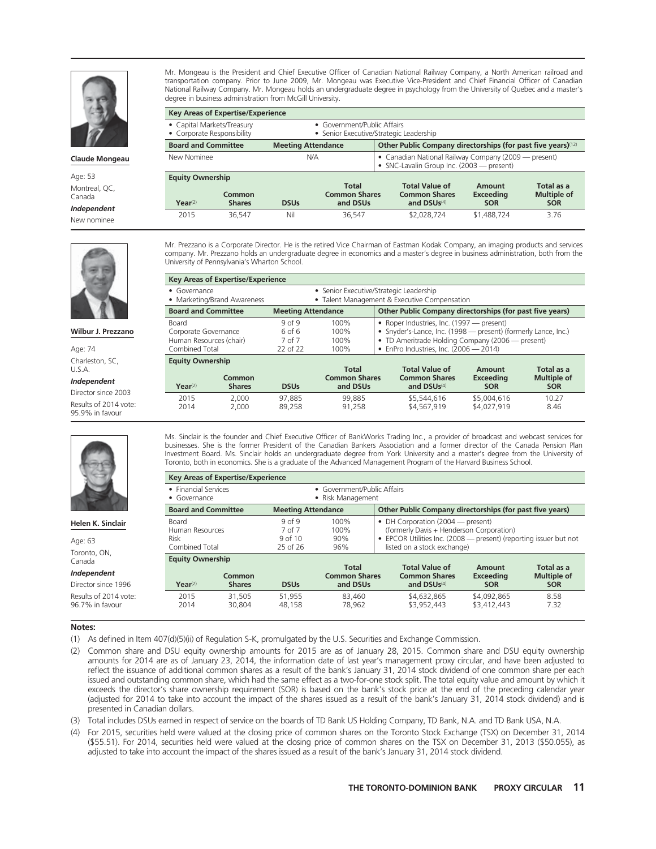

**Claude Mongeau**

Age: 53 Montreal, QC, Canada

*Independent* New nominee



**Wilbur J. Prezzano**

Age: 74

Charleston, SC, U.S.A.

# *Independent*

Director since 2003 Results of 2014 vote: 95.9% in favour



**Helen K. Sinclair**

Age: 63 Toronto, ON, Canada

#### *Independent*

Director since 1996 Results of 2014 vote: 96.7% in favour

**Notes:**

(1) As defined in Item 407(d)(5)(ii) of Regulation S-K, promulgated by the U.S. Securities and Exchange Commission.

(2) Common share and DSU equity ownership amounts for 2015 are as of January 28, 2015. Common share and DSU equity ownership amounts for 2014 are as of January 23, 2014, the information date of last year's management proxy circular, and have been adjusted to reflect the issuance of additional common shares as a result of the bank's January 31, 2014 stock dividend of one common share per each issued and outstanding common share, which had the same effect as a two-for-one stock split. The total equity value and amount by which it exceeds the director's share ownership requirement (SOR) is based on the bank's stock price at the end of the preceding calendar year (adjusted for 2014 to take into account the impact of the shares issued as a result of the bank's January 31, 2014 stock dividend) and is presented in Canadian dollars.

(3) Total includes DSUs earned in respect of service on the boards of TD Bank US Holding Company, TD Bank, N.A. and TD Bank USA, N.A.

(4) For 2015, securities held were valued at the closing price of common shares on the Toronto Stock Exchange (TSX) on December 31, 2014 (\$55.51). For 2014, securities held were valued at the closing price of common shares on the TSX on December 31, 2013 (\$50.055), as adjusted to take into account the impact of the shares issued as a result of the bank's January 31, 2014 stock dividend.

Mr. Mongeau is the President and Chief Executive Officer of Canadian National Railway Company, a North American railroad and transportation company. Prior to June 2009, Mr. Mongeau was Executive Vice-President and Chief Financial Officer of Canadian National Railway Company. Mr. Mongeau holds an undergraduate degree in psychology from the University of Quebec and a master's degree in business administration from McGill University.

| <b>Key Areas of Expertise/Experience</b>                                                                                           |                         |                                                                                                       |                                           |                                                                                                   |                                   |                                                |  |  |  |
|------------------------------------------------------------------------------------------------------------------------------------|-------------------------|-------------------------------------------------------------------------------------------------------|-------------------------------------------|---------------------------------------------------------------------------------------------------|-----------------------------------|------------------------------------------------|--|--|--|
| • Capital Markets/Treasury<br>• Government/Public Affairs<br>• Corporate Responsibility<br>• Senior Executive/Strategic Leadership |                         |                                                                                                       |                                           |                                                                                                   |                                   |                                                |  |  |  |
| <b>Board and Committee</b>                                                                                                         |                         | Other Public Company directorships (for past five years) <sup>(12)</sup><br><b>Meeting Attendance</b> |                                           |                                                                                                   |                                   |                                                |  |  |  |
| New Nominee                                                                                                                        |                         | N/A                                                                                                   |                                           | • Canadian National Railway Company (2009 - present)<br>• SNC-Lavalin Group Inc. (2003 - present) |                                   |                                                |  |  |  |
|                                                                                                                                    | <b>Equity Ownership</b> |                                                                                                       |                                           |                                                                                                   |                                   |                                                |  |  |  |
| $Year^{(2)}$                                                                                                                       | Common<br><b>Shares</b> | <b>DSUs</b>                                                                                           | Total<br><b>Common Shares</b><br>and DSUs | <b>Total Value of</b><br><b>Common Shares</b><br>and $DSUs^{(4)}$                                 | Amount<br>Exceeding<br><b>SOR</b> | Total as a<br><b>Multiple of</b><br><b>SOR</b> |  |  |  |
| 2015                                                                                                                               | 36.547                  | Nil                                                                                                   | 36,547                                    | \$2,028,724                                                                                       | \$1,488,724                       | 3.76                                           |  |  |  |

Mr. Prezzano is a Corporate Director. He is the retired Vice Chairman of Eastman Kodak Company, an imaging products and services company. Mr. Prezzano holds an undergraduate degree in economics and a master's degree in business administration, both from the University of Pennsylvania's Wharton School.

|                                                                                   | <b>Key Areas of Expertise/Experience</b> |                                                       |                                                                                         |                                                                                                                                                                                                                   |                                   |                                                |               |  |  |  |  |
|-----------------------------------------------------------------------------------|------------------------------------------|-------------------------------------------------------|-----------------------------------------------------------------------------------------|-------------------------------------------------------------------------------------------------------------------------------------------------------------------------------------------------------------------|-----------------------------------|------------------------------------------------|---------------|--|--|--|--|
| $\bullet$ Governance                                                              | • Marketing/Brand Awareness              |                                                       | • Senior Executive/Strategic Leadership<br>• Talent Management & Executive Compensation |                                                                                                                                                                                                                   |                                   |                                                |               |  |  |  |  |
| <b>Board and Committee</b>                                                        |                                          |                                                       | Other Public Company directorships (for past five years)<br><b>Meeting Attendance</b>   |                                                                                                                                                                                                                   |                                   |                                                |               |  |  |  |  |
| Board<br>Corporate Governance<br>Human Resources (chair)<br>Combined Total        |                                          | 9 <sub>of</sub> 9<br>$6$ of $6$<br>7 of 7<br>22 of 22 | 100%<br>100%<br>100%<br>100%                                                            | • Roper Industries, Inc. (1997 — present)<br>• Snyder's-Lance, Inc. (1998 - present) (formerly Lance, Inc.)<br>• TD Ameritrade Holding Company (2006 - present)<br>$\bullet$ EnPro Industries, Inc. (2006 - 2014) |                                   |                                                |               |  |  |  |  |
| <b>Equity Ownership</b><br>Common<br>$Year^{(2)}$<br><b>DSUs</b><br><b>Shares</b> |                                          | <b>Total</b><br><b>Common Shares</b><br>and DSUs      |                                                                                         | <b>Total Value of</b><br><b>Common Shares</b><br>and $DSUs^{(4)}$                                                                                                                                                 | Amount<br>Exceeding<br><b>SOR</b> | Total as a<br><b>Multiple of</b><br><b>SOR</b> |               |  |  |  |  |
| 2015<br>2014                                                                      | 2.000<br>2.000                           | 97.885<br>89,258                                      | 99.885<br>91.258                                                                        |                                                                                                                                                                                                                   | \$5,544,616<br>\$4,567,919        | \$5,004,616<br>\$4,027,919                     | 10.27<br>8.46 |  |  |  |  |

Ms. Sinclair is the founder and Chief Executive Officer of BankWorks Trading Inc., a provider of broadcast and webcast services for businesses. She is the former President of the Canadian Bankers Association and a former director of the Canada Pension Plan Investment Board. Ms. Sinclair holds an undergraduate degree from York University and a master's degree from the University of Toronto, both in economics. She is a graduate of the Advanced Management Program of the Harvard Business School.

| <b>Key Areas of Expertise/Experience</b>                  |                                                                              |                                                  |                                                                                                                                                                                   |                                |                                  |  |  |  |
|-----------------------------------------------------------|------------------------------------------------------------------------------|--------------------------------------------------|-----------------------------------------------------------------------------------------------------------------------------------------------------------------------------------|--------------------------------|----------------------------------|--|--|--|
| • Financial Services<br>$\bullet$ Governance              |                                                                              | • Government/Public Affairs<br>• Risk Management |                                                                                                                                                                                   |                                |                                  |  |  |  |
| <b>Board and Committee</b>                                | <b>Meeting Attendance</b>                                                    |                                                  | <b>Other Public Company directorships (for past five years)</b>                                                                                                                   |                                |                                  |  |  |  |
| Board<br>Human Resources<br><b>Risk</b><br>Combined Total | 9 <sub>of</sub> 9<br>7 <sub>of</sub> 7<br>9 <sub>of</sub> 10<br>$25$ of $26$ | 100%<br>100%<br>90%<br>96%                       | • DH Corporation (2004 — present)<br>(formerly Davis + Henderson Corporation)<br>• EPCOR Utilities Inc. (2008 – present) (reporting issuer but not<br>listed on a stock exchange) |                                |                                  |  |  |  |
| <b>Equity Ownership</b>                                   |                                                                              | <b>Total</b>                                     | <b>Total Value of</b>                                                                                                                                                             | Amount                         | Total as a                       |  |  |  |
| Common<br>$Year^{(2)}$<br><b>Shares</b>                   | <b>DSUs</b>                                                                  | <b>Common Shares</b><br>and DSUs                 | <b>Common Shares</b><br>and DSUs(4)                                                                                                                                               | <b>Exceeding</b><br><b>SOR</b> | <b>Multiple of</b><br><b>SOR</b> |  |  |  |
| 2015<br>31,505<br>2014<br>30,804                          | 51.955<br>48.158                                                             | 83,460<br>78.962                                 | \$4,632,865<br>\$3,952,443                                                                                                                                                        | \$4,092,865<br>\$3,412,443     | 8.58<br>7.32                     |  |  |  |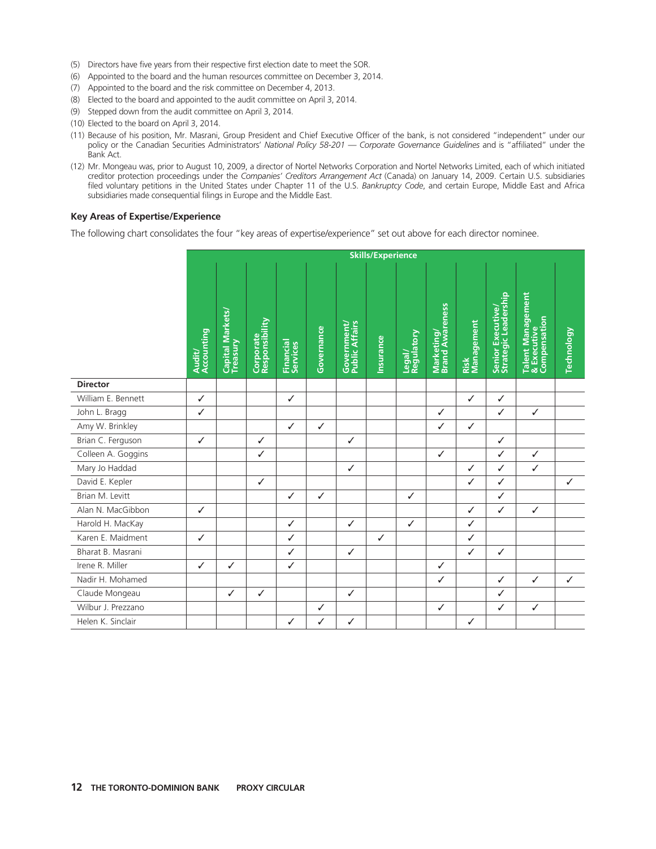- (5) Directors have five years from their respective first election date to meet the SOR.
- (6) Appointed to the board and the human resources committee on December 3, 2014.
- (7) Appointed to the board and the risk committee on December 4, 2013.
- (8) Elected to the board and appointed to the audit committee on April 3, 2014.
- (9) Stepped down from the audit committee on April 3, 2014.
- (10) Elected to the board on April 3, 2014.
- (11) Because of his position, Mr. Masrani, Group President and Chief Executive Officer of the bank, is not considered "independent" under our policy or the Canadian Securities Administrators' *National Policy 58-201 — Corporate Governance Guidelines* and is "affiliated" under the Bank Act.
- (12) Mr. Mongeau was, prior to August 10, 2009, a director of Nortel Networks Corporation and Nortel Networks Limited, each of which initiated creditor protection proceedings under the *Companies' Creditors Arrangement Act* (Canada) on January 14, 2009. Certain U.S. subsidiaries filed voluntary petitions in the United States under Chapter 11 of the U.S. *Bankruptcy Code*, and certain Europe, Middle East and Africa subsidiaries made consequential filings in Europe and the Middle East.

## **Key Areas of Expertise/Experience**

The following chart consolidates the four "key areas of expertise/experience" set out above for each director nominee.

|                    | <b>Skills/Experience</b> |                              |                             |                              |              |                               |              |                      |                               |                    |                                           |                                                  |              |
|--------------------|--------------------------|------------------------------|-----------------------------|------------------------------|--------------|-------------------------------|--------------|----------------------|-------------------------------|--------------------|-------------------------------------------|--------------------------------------------------|--------------|
|                    | Audit/<br>Accounting     | Capital Markets/<br>Treasury | Corporate<br>Responsibility | <b>Financial</b><br>Services | Governance   | Government/<br>Public Affairs | Insurance    | Legal/<br>Regulatory | Marketing/<br>Brand Awareness | Risk<br>Management | Senior Executive/<br>Strategic Leadership | Talent Management<br>& Executive<br>Compensation | Technology   |
| <b>Director</b>    |                          |                              |                             |                              |              |                               |              |                      |                               |                    |                                           |                                                  |              |
| William E. Bennett | ✓                        |                              |                             | $\checkmark$                 |              |                               |              |                      |                               | $\checkmark$       | ✓                                         |                                                  |              |
| John L. Bragg      | ✓                        |                              |                             |                              |              |                               |              |                      | $\checkmark$                  |                    | $\checkmark$                              | ✓                                                |              |
| Amy W. Brinkley    |                          |                              |                             | $\checkmark$                 | $\checkmark$ |                               |              |                      | $\checkmark$                  | $\checkmark$       |                                           |                                                  |              |
| Brian C. Ferguson  | $\checkmark$             |                              | ✓                           |                              |              | $\checkmark$                  |              |                      |                               |                    | $\checkmark$                              |                                                  |              |
| Colleen A. Goggins |                          |                              | ✓                           |                              |              |                               |              |                      | $\checkmark$                  |                    | ✓                                         | $\checkmark$                                     |              |
| Mary Jo Haddad     |                          |                              |                             |                              |              | $\checkmark$                  |              |                      |                               | ✓                  | ✓                                         | $\checkmark$                                     |              |
| David E. Kepler    |                          |                              | $\checkmark$                |                              |              |                               |              |                      |                               | $\checkmark$       | $\checkmark$                              |                                                  | $\checkmark$ |
| Brian M. Levitt    |                          |                              |                             | $\checkmark$                 | $\checkmark$ |                               |              | $\checkmark$         |                               |                    | ✓                                         |                                                  |              |
| Alan N. MacGibbon  | $\checkmark$             |                              |                             |                              |              |                               |              |                      |                               | ✓                  | $\checkmark$                              | $\checkmark$                                     |              |
| Harold H. MacKay   |                          |                              |                             | $\checkmark$                 |              | $\checkmark$                  |              | $\checkmark$         |                               | $\checkmark$       |                                           |                                                  |              |
| Karen E. Maidment  | ✓                        |                              |                             | $\checkmark$                 |              |                               | $\checkmark$ |                      |                               | $\checkmark$       |                                           |                                                  |              |
| Bharat B. Masrani  |                          |                              |                             | $\checkmark$                 |              | $\checkmark$                  |              |                      |                               | $\checkmark$       | $\checkmark$                              |                                                  |              |
| Irene R. Miller    | ✓                        | $\checkmark$                 |                             | $\checkmark$                 |              |                               |              |                      | ✓                             |                    |                                           |                                                  |              |
| Nadir H. Mohamed   |                          |                              |                             |                              |              |                               |              |                      | $\checkmark$                  |                    | $\checkmark$                              | $\checkmark$                                     | $\checkmark$ |
| Claude Mongeau     |                          | $\checkmark$                 | $\checkmark$                |                              |              | $\checkmark$                  |              |                      |                               |                    | ✓                                         |                                                  |              |
| Wilbur J. Prezzano |                          |                              |                             |                              | $\checkmark$ |                               |              |                      | $\checkmark$                  |                    | ✓                                         | $\checkmark$                                     |              |
| Helen K. Sinclair  |                          |                              |                             | ✓                            | ✓            | ✓                             |              |                      |                               | ✓                  |                                           |                                                  |              |